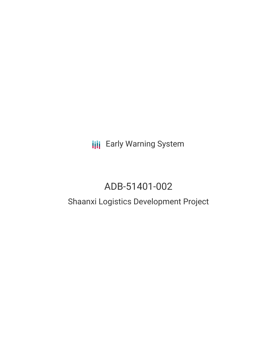**III** Early Warning System

# ADB-51401-002

## Shaanxi Logistics Development Project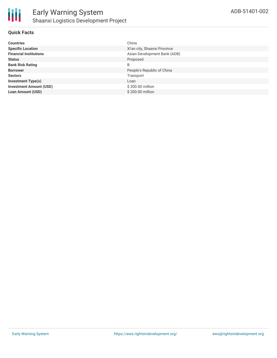#### **Quick Facts**

| <b>Countries</b>               | China                        |
|--------------------------------|------------------------------|
| <b>Specific Location</b>       | Xi'an city, Shaanxi Province |
| <b>Financial Institutions</b>  | Asian Development Bank (ADB) |
| <b>Status</b>                  | Proposed                     |
| <b>Bank Risk Rating</b>        | B                            |
| <b>Borrower</b>                | People's Republic of China   |
| <b>Sectors</b>                 | Transport                    |
| <b>Investment Type(s)</b>      | Loan                         |
| <b>Investment Amount (USD)</b> | \$200.00 million             |
| <b>Loan Amount (USD)</b>       | \$200,00 million             |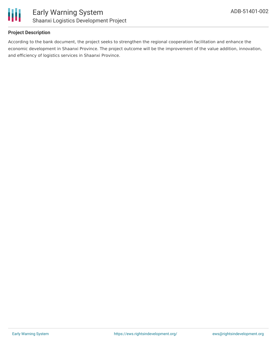

#### **Project Description**

According to the bank document, the project seeks to strengthen the regional cooperation facilitation and enhance the economic development in Shaanxi Province. The project outcome will be the improvement of the value addition, innovation, and efficiency of logistics services in Shaanxi Province.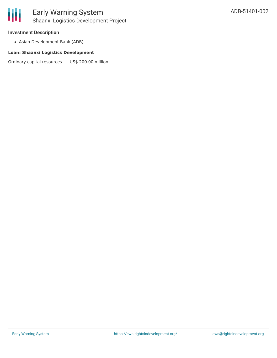

## Early Warning System Shaanxi Logistics Development Project

#### **Investment Description**

Asian Development Bank (ADB)

#### **Loan: Shaanxi Logistics Development**

Ordinary capital resources US\$ 200.00 million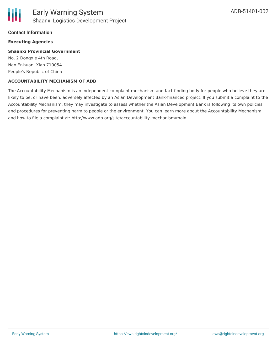#### **Contact Information**

#### **Executing Agencies**

#### **Shaanxi Provincial Government**

No. 2 Dongxie 4th Road, Nan Er-huan, Xian 710054 People's Republic of China

#### **ACCOUNTABILITY MECHANISM OF ADB**

The Accountability Mechanism is an independent complaint mechanism and fact-finding body for people who believe they are likely to be, or have been, adversely affected by an Asian Development Bank-financed project. If you submit a complaint to the Accountability Mechanism, they may investigate to assess whether the Asian Development Bank is following its own policies and procedures for preventing harm to people or the environment. You can learn more about the Accountability Mechanism and how to file a complaint at: http://www.adb.org/site/accountability-mechanism/main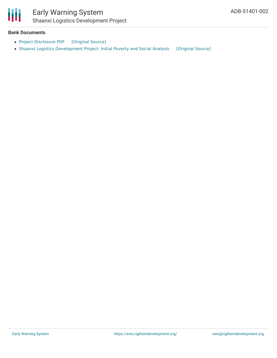

## Early Warning System Shaanxi Logistics Development Project

#### **Bank Documents**

- Project [Disclosure](https://ewsdata.rightsindevelopment.org/files/documents/02/ADB-51401-002.pdf) PDF [\[Original](https://www.adb.org/printpdf/projects/51401-002/main) Source]
- Shaanxi Logistics [Development](https://ewsdata.rightsindevelopment.org/files/documents/02/ADB-51401-002_MV2nPRQ.pdf) Project: Initial Poverty and Social Analysis [\[Original](https://www.adb.org/projects/documents/prc-51401-002-ipsa) Source]